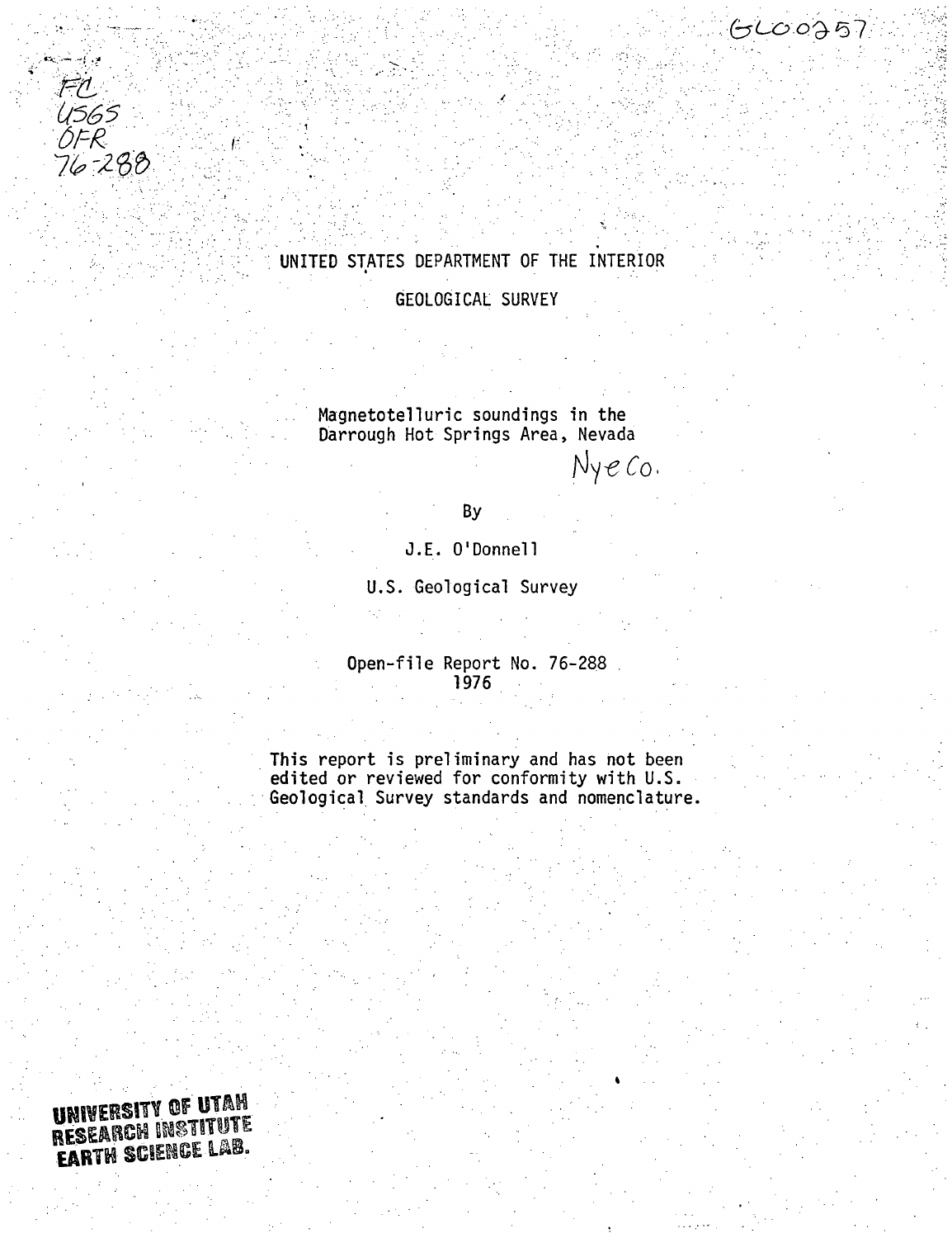

## UNITED STATES DEPARTMENT OF THE INTERIOR GEOLOGICAL SURVEY

Magnetotelluric soundings in the Darrough Hot Springs Area, Nevada

Nyeco.

 $GCO0257$ 

By

J.E. O'Donnell

U.S. Geological Survey

Open-file Report No. 76-288 1976

This report is preliminary and has not been<br>edited or reviewed for conformity with U.S. Geological Survey standards and nomenclature.

UNIVERSITY OF UTAH RESEARCH INSTITUTE EARTH SCIENCE LAB.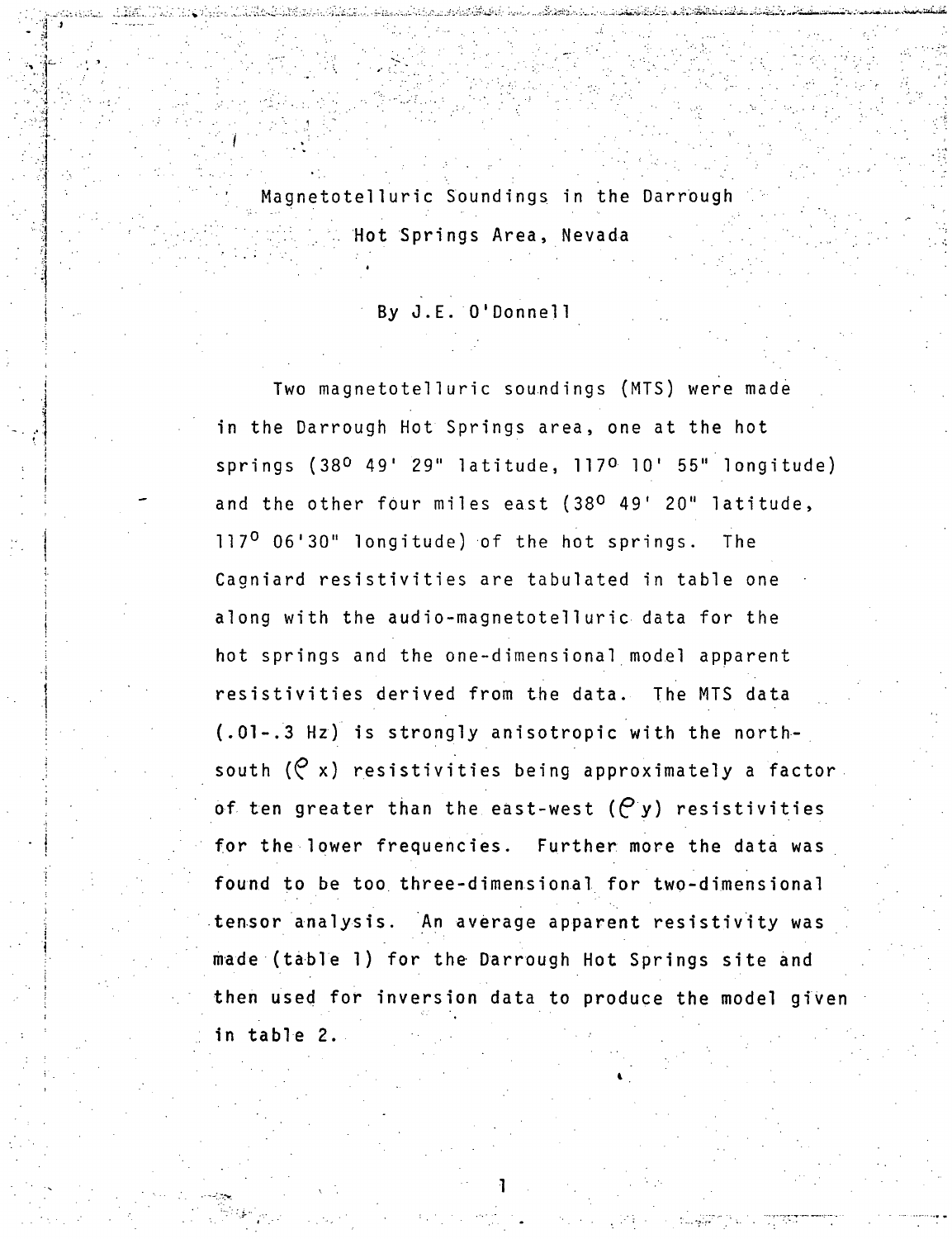Magnetotelluric Soundings in the Darrough . Hot Springs Area, Nevada

By J.E. O'Donnell

 $\mathbf{H} \cdot \mathbf{A}$ 

Two magnetotelluric soundings (MTS) were made in the Darrough Hot Springs area, one at the hot springs (38<sup>0</sup> 49' 29" latitude, 117<sup>0</sup> 10' 55" longitude) and the other four miles east (38° 49' 20" latitude, 117° 06'30" longitude) of the hot springs. The Cagniard resistivities are tabulated in table one along with the audio-magnetotelluric data for the hot springs and the one-dimensional model apparent resistivities derived from the data. The MTS data (.01-.3 Hz) is strongly anisotropic with the northsouth  $(P x)$  resistivities being approximately a factor. of ten greater than the east-west  $(P, y)$  resistivities for the lower frequencies. Further more the data was found to be too three-dimensional for two-dimensional tensor analysis. An average apparent resistivity was made (table 1) for the Darrough Hot Springs site and then used for Inversion data to produce the model given in table 2.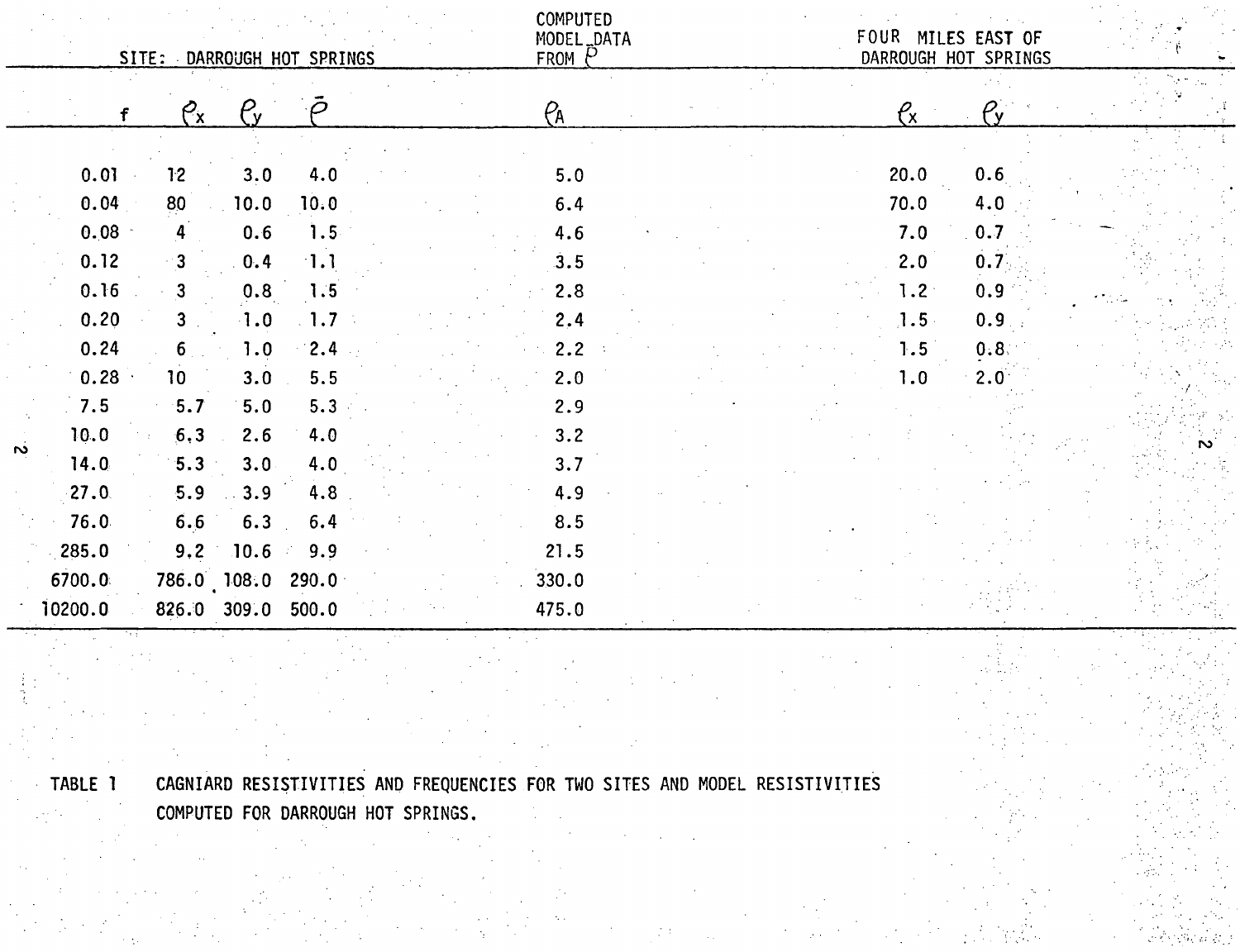|           |                                      |                                      |                                  | SITE: DARROUGH HOT SPRINGS               | <b>COMPUTED</b><br>MODEL_DATA<br>FROM P |  |  |                                                | FOUR MILES EAST OF<br>DARROUGH HOT SPRINGS |   |
|-----------|--------------------------------------|--------------------------------------|----------------------------------|------------------------------------------|-----------------------------------------|--|--|------------------------------------------------|--------------------------------------------|---|
|           | $\mathbf f$                          | $e_{\rm x}$                          | $\mu$                            |                                          | $P_A$                                   |  |  | $\ell_{\rm x}$                                 | Pv                                         |   |
|           | 0.01<br>0.04<br>0.08<br>0.12<br>0.16 | 12<br>80<br>$\overline{4}$<br>3<br>3 | 3.0<br>10.0<br>0.6<br>0.4<br>0.8 | 4.0<br>10.0<br>1.5<br>$\cdot$ 1.1<br>1.5 | 5.0<br>6.4<br>4.6<br>3.5<br>2.8         |  |  | 20.0<br>70.0<br>7.0<br>2.0<br>1.2 <sup>°</sup> | 0.6<br>4.0<br>0.7<br>0.7<br>0.9            |   |
|           | 0.20<br>0.24                         | 3<br>6                               | $\cdot 1.0$<br>1.0               | $\sim 1.7\%$<br>2.4                      | 2,4<br>2.2                              |  |  | $1.5 -$<br>1.5                                 | 0.9 <sub>1</sub><br>0.8                    |   |
|           | 0.28<br>7.5<br>10.0                  | 10 <sub>1</sub><br>5.7<br>6,3        | 3.0<br>5.0<br>2.6                | 5.5<br>5.3<br>4.0                        | 2.0<br>2.9<br>3.2                       |  |  | 1.0                                            | $2.0^{\circ}$                              |   |
| $\vec{v}$ | 14.0<br>27.0                         | 5.3<br>5.9                           | 3.0<br>3.9                       | 4.0<br>4.8                               | 3.7<br>4.9                              |  |  |                                                |                                            | S |
|           | 76.0<br>285.0<br>6700.0              | 6.6<br>9,2                           | 6.3<br>10.6<br>786.0 108.0       | 6.4<br>9.9<br>$\mathcal{F}$<br>290.0     | 8.5<br>21.5<br>330.0                    |  |  |                                                |                                            |   |
|           | 10200.0                              |                                      | 826.0 309.0                      | 500.0                                    | 475.0                                   |  |  |                                                |                                            |   |

TABLE 1 CAGNIARD RESISTIVITIES AND FREQUENCIES FOR TWO SITES AND MODEL RESISTIVITIES COMPUTED FOR DARROUGH HOT SPRINGS.